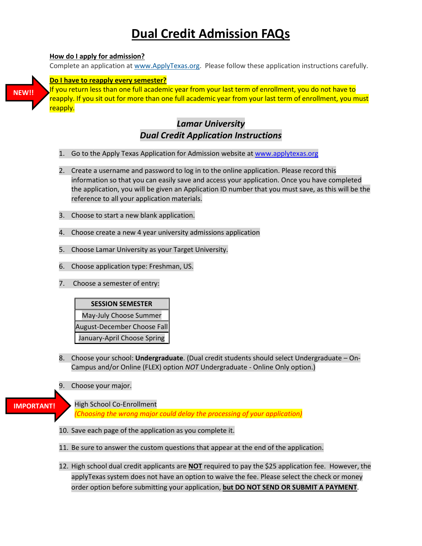# **Dual Credit [Admission FAQs](javascript:to1F()**

# **[How do I apply for admission?](javascript:to1F()**

Complete an application at [www.ApplyTexas.org.](http://www.applytexas.org/) Please follow these application instructions carefully.



If you return less than one full academic year from your last term of enrollment, you do not have to reapply. If you sit out for more than one full academic year from your last term of enrollment, you must reapply.

# *Lamar University Dual Credit Application Instructions*

- 1. Go to the Apply Texas Application for Admission website at [www.applytexas.org](http://www.applytexas.org/)
- 2. Create a username and password to log in to the online application. Please record this information so that you can easily save and access your application. Once you have completed the application, you will be given an Application ID number that you must save, as this will be the reference to all your application materials.
- 3. Choose to start a new blank application.
- 4. Choose create a new 4 year university admissions application
- 5. Choose Lamar University as your Target University.
- 6. Choose application type: Freshman, US.
- 7. Choose a semester of entry:



- 8. Choose your school: **Undergraduate**. (Dual credit students should select Undergraduate On-Campus and/or Online (FLEX) option *NOT* Undergraduate - Online Only option.)
- 9. Choose your major.

```
IMPORTANT!
```
High School Co-Enrollment

*(Choosing the wrong major could delay the processing of your application)*

- 10. Save each page of the application as you complete it.
- 11. Be sure to answer the custom questions that appear at the end of the application.
- 12. High school dual credit applicants are **NOT** required to pay the \$25 application fee. However, the applyTexas system does not have an option to waive the fee. Please select the check or money order option before submitting your application, **but DO NOT SEND OR SUBMIT A PAYMENT**.